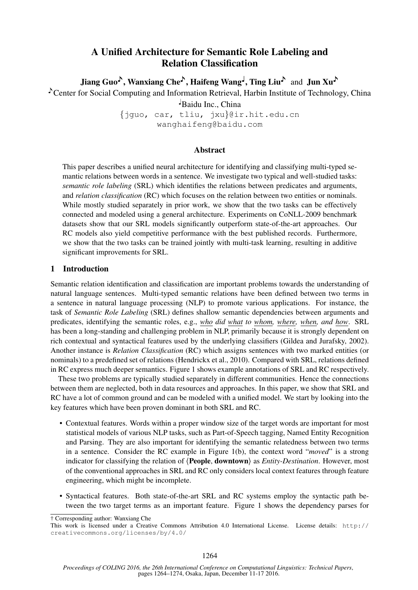# A Unified Architecture for Semantic Role Labeling and Relation Classification

Jiang Guo<sup>J</sup>, Wanxiang Che<sup>J</sup>, Haifeng Wang<sup>J</sup>, Ting Liu<sup>J</sup> and Jun Xu<sup>J</sup>

Center for Social Computing and Information Retrieval, Harbin Institute of Technology, China

♩Baidu Inc., China

{jguo, car, tliu, jxu}@ir.hit.edu.cn wanghaifeng@baidu.com

### Abstract

This paper describes a unified neural architecture for identifying and classifying multi-typed semantic relations between words in a sentence. We investigate two typical and well-studied tasks: *semantic role labeling* (SRL) which identifies the relations between predicates and arguments, and *relation classification* (RC) which focuses on the relation between two entities or nominals. While mostly studied separately in prior work, we show that the two tasks can be effectively connected and modeled using a general architecture. Experiments on CoNLL-2009 benchmark datasets show that our SRL models significantly outperform state-of-the-art approaches. Our RC models also yield competitive performance with the best published records. Furthermore, we show that the two tasks can be trained jointly with multi-task learning, resulting in additive significant improvements for SRL.

# 1 Introduction

Semantic relation identification and classification are important problems towards the understanding of natural language sentences. Multi-typed semantic relations have been defined between two terms in a sentence in natural language processing (NLP) to promote various applications. For instance, the task of *Semantic Role Labeling* (SRL) defines shallow semantic dependencies between arguments and predicates, identifying the semantic roles, e.g., *who did what to whom, where, when, and how*. SRL has been a long-standing and challenging problem in NLP, primarily because it is strongly dependent on rich contextual and syntactical features used by the underlying classifiers (Gildea and Jurafsky, 2002). Another instance is *Relation Classification* (RC) which assigns sentences with two marked entities (or nominals) to a predefined set of relations (Hendrickx et al., 2010). Compared with SRL, relations defined in RC express much deeper semantics. Figure 1 shows example annotations of SRL and RC respectively.

These two problems are typically studied separately in different communities. Hence the connections between them are neglected, both in data resources and approaches. In this paper, we show that SRL and RC have a lot of common ground and can be modeled with a unified model. We start by looking into the key features which have been proven dominant in both SRL and RC.

- Contextual features. Words within a proper window size of the target words are important for most statistical models of various NLP tasks, such as Part-of-Speech tagging, Named Entity Recognition and Parsing. They are also important for identifying the semantic relatedness between two terms in a sentence. Consider the RC example in Figure 1(b), the context word "*moved*" is a strong indicator for classifying the relation of ⟨People, downtown⟩ as *Entity-Destination*. However, most of the conventional approaches in SRL and RC only considers local context features through feature engineering, which might be incomplete.
- Syntactical features. Both state-of-the-art SRL and RC systems employ the syntactic path between the two target terms as an important feature. Figure 1 shows the dependency parses for

<sup>†</sup> Corresponding author: Wanxiang Che

This work is licensed under a Creative Commons Attribution 4.0 International License. License details: http:// creativecommons.org/licenses/by/4.0/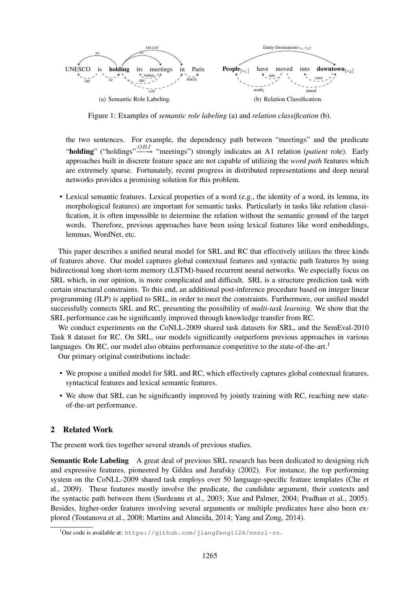

Figure 1: Examples of *semantic role labeling* (a) and *relation classification* (b).

the two sentences. For example, the dependency path between "meetings" and the predicate "holding" ("holdings"  $\stackrel{OBJ}{\longrightarrow}$  "meetings") strongly indicates an A1 relation (*patient* role). Early approaches built in discrete feature space are not capable of utilizing the *word path* features which are extremely sparse. Fortunately, recent progress in distributed representations and deep neural networks provides a promising solution for this problem.

• Lexical semantic features. Lexical properties of a word (e.g., the identity of a word, its lemma, its morphological features) are important for semantic tasks. Particularly in tasks like relation classification, it is often impossible to determine the relation without the semantic ground of the target words. Therefore, previous approaches have been using lexical features like word embeddings, lemmas, WordNet, etc.

This paper describes a unified neural model for SRL and RC that effectively utilizes the three kinds of features above. Our model captures global contextual features and syntactic path features by using bidirectional long short-term memory (LSTM)-based recurrent neural networks. We especially focus on SRL which, in our opinion, is more complicated and difficult. SRL is a structure prediction task with certain structural constraints. To this end, an additional post-inference procedure based on integer linear programming (ILP) is applied to SRL, in order to meet the constraints. Furthermore, our unified model successfully connects SRL and RC, presenting the possibility of *multi-task learning*. We show that the SRL performance can be significantly improved through knowledge transfer from RC.

We conduct experiments on the CoNLL-2009 shared task datasets for SRL, and the SemEval-2010 Task 8 dataset for RC. On SRL, our models significantly outperform previous approaches in various languages. On RC, our model also obtains performance competitive to the state-of-the-art.<sup>1</sup>

Our primary original contributions include:

- We propose a unified model for SRL and RC, which effectively captures global contextual features, syntactical features and lexical semantic features.
- We show that SRL can be significantly improved by jointly training with RC, reaching new stateof-the-art performance.

# 2 Related Work

The present work ties together several strands of previous studies.

Semantic Role Labeling A great deal of previous SRL research has been dedicated to designing rich and expressive features, pioneered by Gildea and Jurafsky (2002). For instance, the top performing system on the CoNLL-2009 shared task employs over 50 language-specific feature templates (Che et al., 2009). These features mostly involve the predicate, the candidate argument, their contexts and the syntactic path between them (Surdeanu et al., 2003; Xue and Palmer, 2004; Pradhan et al., 2005). Besides, higher-order features involving several arguments or multiple predicates have also been explored (Toutanova et al., 2008; Martins and Almeida, 2014; Yang and Zong, 2014).

 $1$ Our code is available at: https://github.com/jiangfeng1124/nnsrl-rc.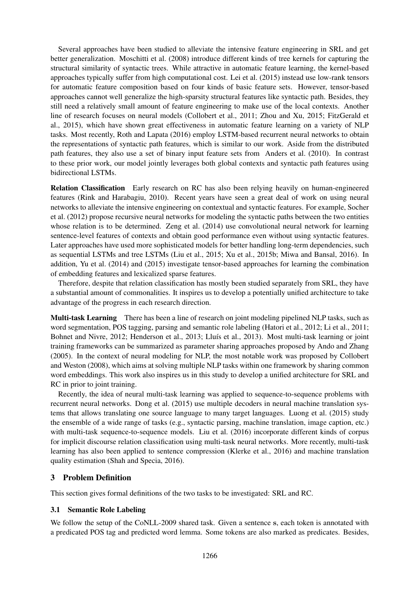Several approaches have been studied to alleviate the intensive feature engineering in SRL and get better generalization. Moschitti et al. (2008) introduce different kinds of tree kernels for capturing the structural similarity of syntactic trees. While attractive in automatic feature learning, the kernel-based approaches typically suffer from high computational cost. Lei et al. (2015) instead use low-rank tensors for automatic feature composition based on four kinds of basic feature sets. However, tensor-based approaches cannot well generalize the high-sparsity structural features like syntactic path. Besides, they still need a relatively small amount of feature engineering to make use of the local contexts. Another line of research focuses on neural models (Collobert et al., 2011; Zhou and Xu, 2015; FitzGerald et al., 2015), which have shown great effectiveness in automatic feature learning on a variety of NLP tasks. Most recently, Roth and Lapata (2016) employ LSTM-based recurrent neural networks to obtain the representations of syntactic path features, which is similar to our work. Aside from the distributed path features, they also use a set of binary input feature sets from Anders et al. (2010). In contrast to these prior work, our model jointly leverages both global contexts and syntactic path features using bidirectional LSTMs.

Relation Classification Early research on RC has also been relying heavily on human-engineered features (Rink and Harabagiu, 2010). Recent years have seen a great deal of work on using neural networks to alleviate the intensive engineering on contextual and syntactic features. For example, Socher et al. (2012) propose recursive neural networks for modeling the syntactic paths between the two entities whose relation is to be determined. Zeng et al. (2014) use convolutional neural network for learning sentence-level features of contexts and obtain good performance even without using syntactic features. Later approaches have used more sophisticated models for better handling long-term dependencies, such as sequential LSTMs and tree LSTMs (Liu et al., 2015; Xu et al., 2015b; Miwa and Bansal, 2016). In addition, Yu et al. (2014) and (2015) investigate tensor-based approaches for learning the combination of embedding features and lexicalized sparse features.

Therefore, despite that relation classification has mostly been studied separately from SRL, they have a substantial amount of commonalities. It inspires us to develop a potentially unified architecture to take advantage of the progress in each research direction.

Multi-task Learning There has been a line of research on joint modeling pipelined NLP tasks, such as word segmentation, POS tagging, parsing and semantic role labeling (Hatori et al., 2012; Li et al., 2011; Bohnet and Nivre, 2012; Henderson et al., 2013; Lluís et al., 2013). Most multi-task learning or joint training frameworks can be summarized as parameter sharing approaches proposed by Ando and Zhang (2005). In the context of neural modeling for NLP, the most notable work was proposed by Collobert and Weston (2008), which aims at solving multiple NLP tasks within one framework by sharing common word embeddings. This work also inspires us in this study to develop a unified architecture for SRL and RC in prior to joint training.

Recently, the idea of neural multi-task learning was applied to sequence-to-sequence problems with recurrent neural networks. Dong et al. (2015) use multiple decoders in neural machine translation systems that allows translating one source language to many target languages. Luong et al. (2015) study the ensemble of a wide range of tasks (e.g., syntactic parsing, machine translation, image caption, etc.) with multi-task sequence-to-sequence models. Liu et al. (2016) incorporate different kinds of corpus for implicit discourse relation classification using multi-task neural networks. More recently, multi-task learning has also been applied to sentence compression (Klerke et al., 2016) and machine translation quality estimation (Shah and Specia, 2016).

# 3 Problem Definition

This section gives formal definitions of the two tasks to be investigated: SRL and RC.

# 3.1 Semantic Role Labeling

We follow the setup of the CoNLL-2009 shared task. Given a sentence s, each token is annotated with a predicated POS tag and predicted word lemma. Some tokens are also marked as predicates. Besides,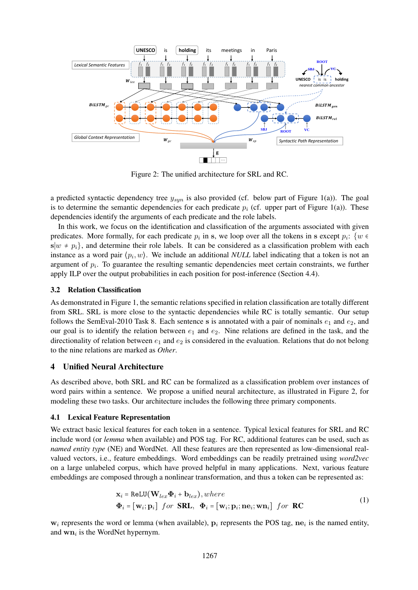

Figure 2: The unified architecture for SRL and RC.

a predicted syntactic dependency tree  $y_{sym}$  is also provided (cf. below part of Figure 1(a)). The goal is to determine the semantic dependencies for each predicate  $p_i$  (cf. upper part of Figure 1(a)). These dependencies identify the arguments of each predicate and the role labels.

In this work, we focus on the identification and classification of the arguments associated with given predicates. More formally, for each predicate  $p_i$  in s, we loop over all the tokens in s except  $p_i$ :  $\{w \in$  $s|w \neq p_i$ , and determine their role labels. It can be considered as a classification problem with each instance as a word pair  $\langle p_i, w \rangle$ . We include an additional *NULL* label indicating that a token is not an argument of  $p_i$ . To guarantee the resulting semantic dependencies meet certain constraints, we further apply ILP over the output probabilities in each position for post-inference (Section 4.4).

### 3.2 Relation Classification

As demonstrated in Figure 1, the semantic relations specified in relation classification are totally different from SRL. SRL is more close to the syntactic dependencies while RC is totally semantic. Our setup follows the SemEval-2010 Task 8. Each sentence s is annotated with a pair of nominals  $e_1$  and  $e_2$ , and our goal is to identify the relation between  $e_1$  and  $e_2$ . Nine relations are defined in the task, and the directionality of relation between  $e_1$  and  $e_2$  is considered in the evaluation. Relations that do not belong to the nine relations are marked as *Other*.

# 4 Unified Neural Architecture

As described above, both SRL and RC can be formalized as a classification problem over instances of word pairs within a sentence. We propose a unified neural architecture, as illustrated in Figure 2, for modeling these two tasks. Our architecture includes the following three primary components.

#### 4.1 Lexical Feature Representation

We extract basic lexical features for each token in a sentence. Typical lexical features for SRL and RC include word (or *lemma* when available) and POS tag. For RC, additional features can be used, such as *named entity type* (NE) and WordNet. All these features are then represented as low-dimensional realvalued vectors, i.e., feature embeddings. Word embeddings can be readily pretrained using *word2vec* on a large unlabeled corpus, which have proved helpful in many applications. Next, various feature embeddings are composed through a nonlinear transformation, and thus a token can be represented as:

$$
\mathbf{x}_{i} = \text{ReLU}(\mathbf{W}_{lex} \mathbf{\Phi}_{i} + \mathbf{b}_{lex}), where
$$
\n
$$
\mathbf{\Phi}_{i} = [\mathbf{w}_{i}; \mathbf{p}_{i}] \text{ for } \mathbf{SRL}, \mathbf{\Phi}_{i} = [\mathbf{w}_{i}; \mathbf{p}_{i}; \mathbf{ne}_{i}; \mathbf{w}\mathbf{n}_{i}] \text{ for } \mathbf{RC}
$$
\n(1)

 $w_i$  represents the word or lemma (when available),  $p_i$  represents the POS tag, ne<sub>i</sub> is the named entity, and  $wn_i$  is the WordNet hypernym.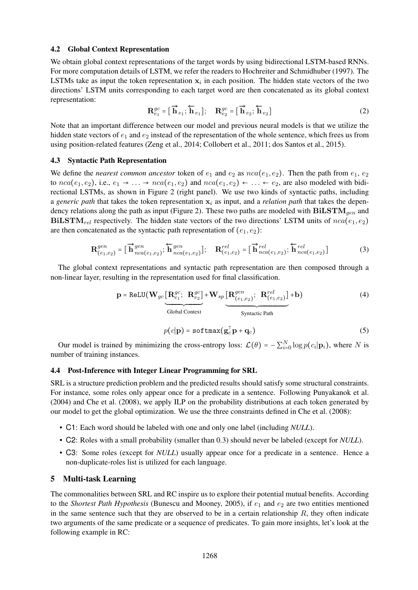#### 4.2 Global Context Representation

We obtain global context representations of the target words by using bidirectional LSTM-based RNNs. For more computation details of LSTM, we refer the readers to Hochreiter and Schmidhuber (1997). The LSTMs take as input the token representation  $x_i$  in each position. The hidden state vectors of the two directions' LSTM units corresponding to each target word are then concatenated as its global context representation:

$$
\mathbf{R}_{e_1}^{gc} = [\overrightarrow{\mathbf{h}}_{e_1}; \overleftarrow{\mathbf{h}}_{e_1}]; \quad \mathbf{R}_{e_2}^{gc} = [\overrightarrow{\mathbf{h}}_{e_2}; \overleftarrow{\mathbf{h}}_{e_2}] \tag{2}
$$

Note that an important difference between our model and previous neural models is that we utilize the hidden state vectors of  $e_1$  and  $e_2$  instead of the representation of the whole sentence, which frees us from using position-related features (Zeng et al., 2014; Collobert et al., 2011; dos Santos et al., 2015).

#### 4.3 Syntactic Path Representation

We define the *nearest common ancestor* token of  $e_1$  and  $e_2$  as  $nca(e_1, e_2)$ . Then the path from  $e_1, e_2$ to  $nca(e_1, e_2)$ , i.e.,  $e_1 \rightarrow \ldots \rightarrow nca(e_1, e_2)$  and  $nca(e_1, e_2) \leftarrow \ldots \leftarrow e_2$ , are also modeled with bidirectional LSTMs, as shown in Figure 2 (right panel). We use two kinds of syntactic paths, including a *generic path* that takes the token representation  $x_i$  as input, and a *relation path* that takes the dependency relations along the path as input (Figure 2). These two paths are modeled with  $BiLSTM_{gen}$  and  $BiLSTM_{rel}$  respectively. The hidden state vectors of the two directions' LSTM units of  $nca(e_1, e_2)$ are then concatenated as the syntactic path representation of  $(e_1, e_2)$ :

$$
\mathbf{R}_{(e_1,e_2)}^{gen} = \left[\overrightarrow{\mathbf{h}}_{nca(e_1,e_2)}^{gen}; \overleftarrow{\mathbf{h}}_{nca(e_1,e_2)}^{gen}\right]; \quad \mathbf{R}_{(e_1,e_2)}^{rel} = \left[\overrightarrow{\mathbf{h}}_{nca(e_1,e_2)}^{rel}; \overleftarrow{\mathbf{h}}_{nca(e_1,e_2)}^{rel}\right]
$$
(3)

The global context representations and syntactic path representation are then composed through a non-linear layer, resulting in the representation used for final classification.

$$
\mathbf{p} = \text{ReLU}(\mathbf{W}_{gc} \underbrace{[\mathbf{R}_{e_1}^{gc}; \ \mathbf{R}_{e_2}^{gc}]}_{\text{Global Context}} + \mathbf{W}_{sp} \underbrace{[\mathbf{R}_{(e_1, e_2)}^{gen}; \ \mathbf{R}_{(e_1, e_2)}^{rel}]}_{\text{Syntactic Path}} + \mathbf{b})
$$
(4)

$$
p(c|\mathbf{p}) = \text{softmax}(\mathbf{g}_c^{\top}\mathbf{p} + \mathbf{q}_c)
$$
 (5)

Our model is trained by minimizing the cross-entropy loss:  $\mathcal{L}(\theta) = -\sum_{i=0}^{N} \log p(c_i | \mathbf{p}_i)$ , where N is number of training instances.

#### 4.4 Post-Inference with Integer Linear Programming for SRL

SRL is a structure prediction problem and the predicted results should satisfy some structural constraints. For instance, some roles only appear once for a predicate in a sentence. Following Punyakanok et al. (2004) and Che et al. (2008), we apply ILP on the probability distributions at each token generated by our model to get the global optimization. We use the three constraints defined in Che et al. (2008):

- C1: Each word should be labeled with one and only one label (including *NULL*).
- C2: Roles with a small probability (smaller than 0.3) should never be labeled (except for *NULL*).
- C3: Some roles (except for *NULL*) usually appear once for a predicate in a sentence. Hence a non-duplicate-roles list is utilized for each language.

#### 5 Multi-task Learning

The commonalities between SRL and RC inspire us to explore their potential mutual benefits. According to the *Shortest Path Hypothesis* (Bunescu and Mooney, 2005), if  $e_1$  and  $e_2$  are two entities mentioned in the same sentence such that they are observed to be in a certain relationship  $R$ , they often indicate two arguments of the same predicate or a sequence of predicates. To gain more insights, let's look at the following example in RC: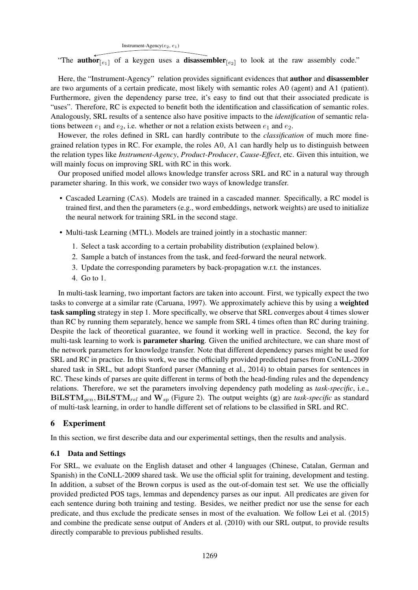Instrument-Agency( $e_2, e_1$ )

"The **author**<sub>[e1</sub>] of a keygen uses a **disassembler**<sub>[e2</sub>] to look at the raw assembly code."

Here, the "Instrument-Agency" relation provides significant evidences that **author** and **disassembler** are two arguments of a certain predicate, most likely with semantic roles A0 (agent) and A1 (patient). Furthermore, given the dependency parse tree, it's easy to find out that their associated predicate is "uses". Therefore, RC is expected to benefit both the identification and classification of semantic roles. Analogously, SRL results of a sentence also have positive impacts to the *identification* of semantic relations between  $e_1$  and  $e_2$ , i.e. whether or not a relation exists between  $e_1$  and  $e_2$ .

However, the roles defined in SRL can hardly contribute to the *classification* of much more finegrained relation types in RC. For example, the roles A0, A1 can hardly help us to distinguish between the relation types like *Instrument-Agency*, *Product-Producer*, *Cause-Effect*, etc. Given this intuition, we will mainly focus on improving SRL with RC in this work.

Our proposed unified model allows knowledge transfer across SRL and RC in a natural way through parameter sharing. In this work, we consider two ways of knowledge transfer.

- Cascaded Learning (CAS). Models are trained in a cascaded manner. Specifically, a RC model is trained first, and then the parameters (e.g., word embeddings, network weights) are used to initialize the neural network for training SRL in the second stage.
- Multi-task Learning (MTL). Models are trained jointly in a stochastic manner:
	- 1. Select a task according to a certain probability distribution (explained below).
	- 2. Sample a batch of instances from the task, and feed-forward the neural network.
	- 3. Update the corresponding parameters by back-propagation w.r.t. the instances.
	- 4. Go to 1.

In multi-task learning, two important factors are taken into account. First, we typically expect the two tasks to converge at a similar rate (Caruana, 1997). We approximately achieve this by using a weighted task sampling strategy in step 1. More specifically, we observe that SRL converges about 4 times slower than RC by running them separately, hence we sample from SRL 4 times often than RC during training. Despite the lack of theoretical guarantee, we found it working well in practice. Second, the key for multi-task learning to work is **parameter sharing**. Given the unified architecture, we can share most of the network parameters for knowledge transfer. Note that different dependency parses might be used for SRL and RC in practice. In this work, we use the officially provided predicted parses from CoNLL-2009 shared task in SRL, but adopt Stanford parser (Manning et al., 2014) to obtain parses for sentences in RC. These kinds of parses are quite different in terms of both the head-finding rules and the dependency relations. Therefore, we set the parameters involving dependency path modeling as *task-specific*, i.e.,  $BiLSTM<sub>gen</sub>, BiLSTM<sub>rel</sub>$  and  $W<sub>sp</sub>$  (Figure 2). The output weights (g) are *task-specific* as standard of multi-task learning, in order to handle different set of relations to be classified in SRL and RC.

# 6 Experiment

In this section, we first describe data and our experimental settings, then the results and analysis.

# 6.1 Data and Settings

For SRL, we evaluate on the English dataset and other 4 languages (Chinese, Catalan, German and Spanish) in the CoNLL-2009 shared task. We use the official split for training, development and testing. In addition, a subset of the Brown corpus is used as the out-of-domain test set. We use the officially provided predicted POS tags, lemmas and dependency parses as our input. All predicates are given for each sentence during both training and testing. Besides, we neither predict nor use the sense for each predicate, and thus exclude the predicate senses in most of the evaluation. We follow Lei et al. (2015) and combine the predicate sense output of Anders et al. (2010) with our SRL output, to provide results directly comparable to previous published results.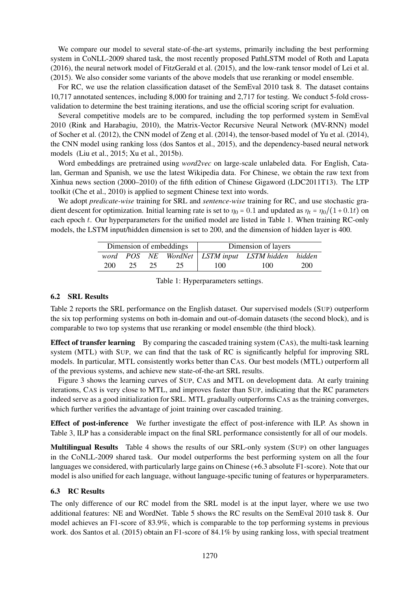We compare our model to several state-of-the-art systems, primarily including the best performing system in CoNLL-2009 shared task, the most recently proposed PathLSTM model of Roth and Lapata (2016), the neural network model of FitzGerald et al. (2015), and the low-rank tensor model of Lei et al. (2015). We also consider some variants of the above models that use reranking or model ensemble.

For RC, we use the relation classification dataset of the SemEval 2010 task 8. The dataset contains 10,717 annotated sentences, including 8,000 for training and 2,717 for testing. We conduct 5-fold crossvalidation to determine the best training iterations, and use the official scoring script for evaluation.

Several competitive models are to be compared, including the top performed system in SemEval 2010 (Rink and Harabagiu, 2010), the Matrix-Vector Recursive Neural Network (MV-RNN) model of Socher et al. (2012), the CNN model of Zeng et al. (2014), the tensor-based model of Yu et al. (2014), the CNN model using ranking loss (dos Santos et al., 2015), and the dependency-based neural network models (Liu et al., 2015; Xu et al., 2015b).

Word embeddings are pretrained using *word2vec* on large-scale unlabeled data. For English, Catalan, German and Spanish, we use the latest Wikipedia data. For Chinese, we obtain the raw text from Xinhua news section (2000–2010) of the fifth edition of Chinese Gigaword (LDC2011T13). The LTP toolkit (Che et al., 2010) is applied to segment Chinese text into words.

We adopt *predicate-wise* training for SRL and *sentence-wise* training for RC, and use stochastic gradient descent for optimization. Initial learning rate is set to  $\eta_0 = 0.1$  and updated as  $\eta_t = \eta_0/(1+0.1t)$  on each epoch t. Our hyperparameters for the unified model are listed in Table 1. When training RC-only models, the LSTM input/hidden dimension is set to 200, and the dimension of hidden layer is 400.

| Dimension of embeddings |    |    |     | Dimension of layers                                 |     |
|-------------------------|----|----|-----|-----------------------------------------------------|-----|
|                         |    |    |     | word POS NE WordNet   LSTM input LSTM hidden hidden |     |
| 200                     | 25 | 25 | 100 | 100                                                 | 200 |

Table 1: Hyperparameters settings.

### 6.2 SRL Results

Table 2 reports the SRL performance on the English dataset. Our supervised models (SUP) outperform the six top performing systems on both in-domain and out-of-domain datasets (the second block), and is comparable to two top systems that use reranking or model ensemble (the third block).

Effect of transfer learning By comparing the cascaded training system (CAS), the multi-task learning system (MTL) with SUP, we can find that the task of RC is significantly helpful for improving SRL models. In particular, MTL consistently works better than CAS. Our best models (MTL) outperform all of the previous systems, and achieve new state-of-the-art SRL results.

Figure 3 shows the learning curves of SUP, CAS and MTL on development data. At early training iterations, CAS is very close to MTL, and improves faster than SUP, indicating that the RC parameters indeed serve as a good initialization for SRL. MTL gradually outperforms CAS as the training converges, which further verifies the advantage of joint training over cascaded training.

Effect of post-inference We further investigate the effect of post-inference with ILP. As shown in Table 3, ILP has a considerable impact on the final SRL performance consistently for all of our models.

Multilingual Results Table 4 shows the results of our SRL-only system (SUP) on other languages in the CoNLL-2009 shared task. Our model outperforms the best performing system on all the four languages we considered, with particularly large gains on Chinese (+6.3 absolute F1-score). Note that our model is also unified for each language, without language-specific tuning of features or hyperparameters.

# 6.3 RC Results

The only difference of our RC model from the SRL model is at the input layer, where we use two additional features: NE and WordNet. Table 5 shows the RC results on the SemEval 2010 task 8. Our model achieves an F1-score of 83.9%, which is comparable to the top performing systems in previous work. dos Santos et al. (2015) obtain an F1-score of 84.1% by using ranking loss, with special treatment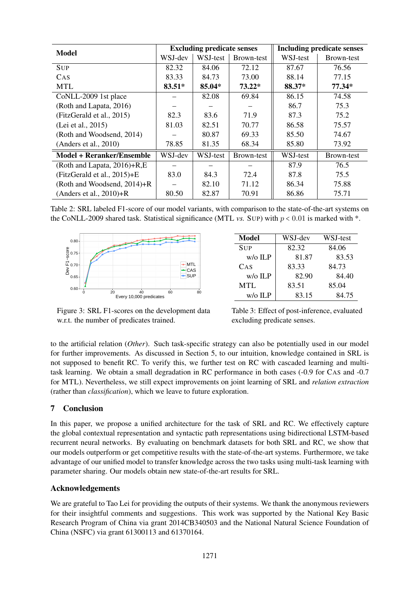| <b>Model</b>                     | <b>Excluding predicate senses</b> |          |                   | <b>Including predicate senses</b> |            |
|----------------------------------|-----------------------------------|----------|-------------------|-----------------------------------|------------|
|                                  | WSJ-dev                           | WSJ-test | <b>Brown-test</b> | WSJ-test                          | Brown-test |
| <b>SUP</b>                       | 82.32                             | 84.06    | 72.12             | 87.67                             | 76.56      |
| CAS                              | 83.33                             | 84.73    | 73.00             | 88.14                             | 77.15      |
| <b>MTL</b>                       | 83.51*                            | 85.04*   | $73.22*$          | 88.37*                            | 77.34*     |
| CoNLL-2009 1st place             |                                   | 82.08    | 69.84             | 86.15                             | 74.58      |
| (Roth and Lapata, 2016)          |                                   |          |                   | 86.7                              | 75.3       |
| (FitzGerald et al., 2015)        | 82.3                              | 83.6     | 71.9              | 87.3                              | 75.2       |
| (Lei et al., 2015)               | 81.03                             | 82.51    | 70.77             | 86.58                             | 75.57      |
| (Roth and Woodsend, 2014)        |                                   | 80.87    | 69.33             | 85.50                             | 74.67      |
| (Anders et al., 2010)            | 78.85                             | 81.35    | 68.34             | 85.80                             | 73.92      |
| <b>Model + Reranker/Ensemble</b> | WSJ-dev                           | WSJ-test | Brown-test        | WSJ-test                          | Brown-test |
| (Roth and Lapata, $2016$ )+R,E   |                                   |          |                   | 87.9                              | 76.5       |
| (FitzGerald et al., 2015)+E      | 83.0                              | 84.3     | 72.4              | 87.8                              | 75.5       |
| (Roth and Woodsend, 2014)+R      |                                   | 82.10    | 71.12             | 86.34                             | 75.88      |
| (Anders et al., $2010$ )+R       | 80.50                             | 82.87    | 70.91             | 86.86                             | 75.71      |

Table 2: SRL labeled F1-score of our model variants, with comparison to the state-of-the-art systems on the CoNLL-2009 shared task. Statistical significance (MTL *vs.* SUP) with  $p < 0.01$  is marked with  $*$ .



| Model      | WSJ-dev | WSJ-test |
|------------|---------|----------|
| <b>SUP</b> | 82.32   | 84.06    |
| $w$ /0 ILP | 81.87   | 83.53    |
| CAS        | 83.33   | 84.73    |
| $w$ /0 ILP | 82.90   | 84.40    |
| <b>MTL</b> | 83.51   | 85.04    |
| $w$ /0 ILP | 83.15   | 84.75    |

Figure 3: SRL F1-scores on the development data w.r.t. the number of predicates trained.

Table 3: Effect of post-inference, evaluated excluding predicate senses.

to the artificial relation (*Other*). Such task-specific strategy can also be potentially used in our model for further improvements. As discussed in Section 5, to our intuition, knowledge contained in SRL is not supposed to benefit RC. To verify this, we further test on RC with cascaded learning and multitask learning. We obtain a small degradation in RC performance in both cases (-0.9 for CAS and -0.7 for MTL). Nevertheless, we still expect improvements on joint learning of SRL and *relation extraction* (rather than *classification*), which we leave to future exploration.

# 7 Conclusion

In this paper, we propose a unified architecture for the task of SRL and RC. We effectively capture the global contextual representation and syntactic path representations using bidirectional LSTM-based recurrent neural networks. By evaluating on benchmark datasets for both SRL and RC, we show that our models outperform or get competitive results with the state-of-the-art systems. Furthermore, we take advantage of our unified model to transfer knowledge across the two tasks using multi-task learning with parameter sharing. Our models obtain new state-of-the-art results for SRL.

# Acknowledgements

We are grateful to Tao Lei for providing the outputs of their systems. We thank the anonymous reviewers for their insightful comments and suggestions. This work was supported by the National Key Basic Research Program of China via grant 2014CB340503 and the National Natural Science Foundation of China (NSFC) via grant 61300113 and 61370164.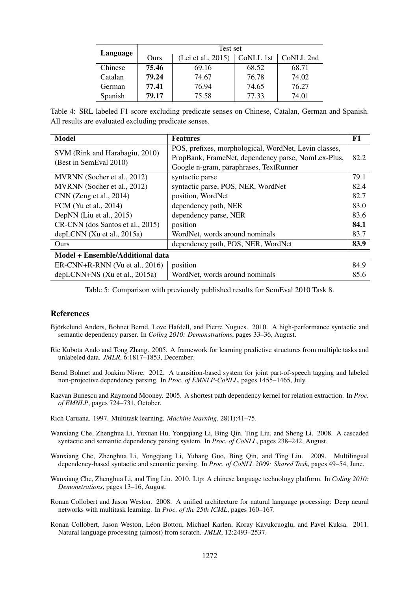|          | Test set |                    |                       |       |  |  |
|----------|----------|--------------------|-----------------------|-------|--|--|
| Language | Ours     | (Lei et al., 2015) | CoNLL 1st   CoNLL 2nd |       |  |  |
| Chinese  | 75.46    | 69.16              | 68.52                 | 68.71 |  |  |
| Catalan  | 79.24    | 74.67              | 76.78                 | 74.02 |  |  |
| German   | 77.41    | 76.94              | 74.65                 | 76.27 |  |  |
| Spanish  | 79.17    | 75.58              | 77.33                 | 74.01 |  |  |

Table 4: SRL labeled F1-score excluding predicate senses on Chinese, Catalan, German and Spanish. All results are evaluated excluding predicate senses.

| <b>Model</b>                     | <b>Features</b>                                       | F1   |  |  |
|----------------------------------|-------------------------------------------------------|------|--|--|
| SVM (Rink and Harabagiu, 2010)   | POS, prefixes, morphological, WordNet, Levin classes, |      |  |  |
| (Best in SemEval 2010)           | PropBank, FrameNet, dependency parse, NomLex-Plus,    |      |  |  |
|                                  | Google n-gram, paraphrases, TextRunner                |      |  |  |
| MVRNN (Socher et al., 2012)      | syntactic parse                                       | 79.1 |  |  |
| MVRNN (Socher et al., 2012)      | syntactic parse, POS, NER, WordNet                    | 82.4 |  |  |
| CNN (Zeng et al., 2014)          | position, WordNet                                     | 82.7 |  |  |
| FCM (Yu et al., 2014)            | dependency path, NER                                  | 83.0 |  |  |
| DepNN (Liu et al., 2015)         | dependency parse, NER                                 | 83.6 |  |  |
| CR-CNN (dos Santos et al., 2015) | position                                              | 84.1 |  |  |
| $depLCNN$ (Xu et al., 2015a)     | WordNet, words around nominals                        | 83.7 |  |  |
| Ours                             | dependency path, POS, NER, WordNet                    | 83.9 |  |  |
| Model + Ensemble/Additional data |                                                       |      |  |  |
| $ER-CNN+R-RNN$ (Vu et al., 2016) | position                                              | 84.9 |  |  |

Table 5: Comparison with previously published results for SemEval 2010 Task 8.

depLCNN+NS (Xu et al., 2015a) WordNet, words around nominals  $85.6$ 

# References

- Björkelund Anders, Bohnet Bernd, Love Hafdell, and Pierre Nugues. 2010. A high-performance syntactic and semantic dependency parser. In *Coling 2010: Demonstrations*, pages 33–36, August.
- Rie Kubota Ando and Tong Zhang. 2005. A framework for learning predictive structures from multiple tasks and unlabeled data. *JMLR*, 6:1817–1853, December.
- Bernd Bohnet and Joakim Nivre. 2012. A transition-based system for joint part-of-speech tagging and labeled non-projective dependency parsing. In *Proc. of EMNLP-CoNLL*, pages 1455–1465, July.
- Razvan Bunescu and Raymond Mooney. 2005. A shortest path dependency kernel for relation extraction. In *Proc. of EMNLP*, pages 724–731, October.

Rich Caruana. 1997. Multitask learning. *Machine learning*, 28(1):41–75.

Wanxiang Che, Zhenghua Li, Yuxuan Hu, Yongqiang Li, Bing Qin, Ting Liu, and Sheng Li. 2008. A cascaded syntactic and semantic dependency parsing system. In *Proc. of CoNLL*, pages 238–242, August.

Wanxiang Che, Zhenghua Li, Yongqiang Li, Yuhang Guo, Bing Qin, and Ting Liu. 2009. Multilingual dependency-based syntactic and semantic parsing. In *Proc. of CoNLL 2009: Shared Task*, pages 49–54, June.

- Wanxiang Che, Zhenghua Li, and Ting Liu. 2010. Ltp: A chinese language technology platform. In *Coling 2010: Demonstrations*, pages 13–16, August.
- Ronan Collobert and Jason Weston. 2008. A unified architecture for natural language processing: Deep neural networks with multitask learning. In *Proc. of the 25th ICML*, pages 160–167.
- Ronan Collobert, Jason Weston, Leon Bottou, Michael Karlen, Koray Kavukcuoglu, and Pavel Kuksa. 2011. ´ Natural language processing (almost) from scratch. *JMLR*, 12:2493–2537.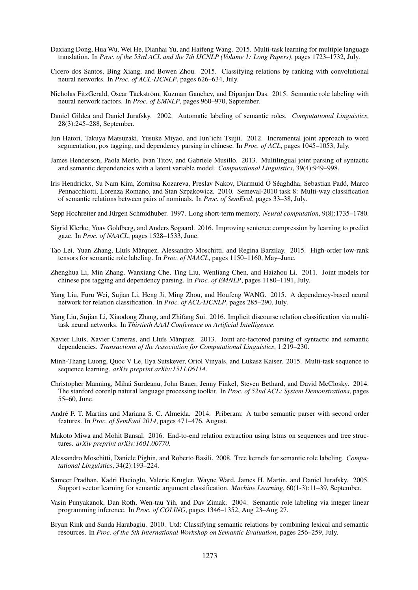- Daxiang Dong, Hua Wu, Wei He, Dianhai Yu, and Haifeng Wang. 2015. Multi-task learning for multiple language translation. In *Proc. of the 53rd ACL and the 7th IJCNLP (Volume 1: Long Papers)*, pages 1723–1732, July.
- Cicero dos Santos, Bing Xiang, and Bowen Zhou. 2015. Classifying relations by ranking with convolutional neural networks. In *Proc. of ACL-IJCNLP*, pages 626–634, July.
- Nicholas FitzGerald, Oscar Täckström, Kuzman Ganchev, and Dipanjan Das. 2015. Semantic role labeling with neural network factors. In *Proc. of EMNLP*, pages 960–970, September.
- Daniel Gildea and Daniel Jurafsky. 2002. Automatic labeling of semantic roles. *Computational Linguistics*, 28(3):245–288, September.
- Jun Hatori, Takuya Matsuzaki, Yusuke Miyao, and Jun'ichi Tsujii. 2012. Incremental joint approach to word segmentation, pos tagging, and dependency parsing in chinese. In *Proc. of ACL*, pages 1045–1053, July.
- James Henderson, Paola Merlo, Ivan Titov, and Gabriele Musillo. 2013. Multilingual joint parsing of syntactic and semantic dependencies with a latent variable model. *Computational Linguistics*, 39(4):949–998.
- Iris Hendrickx, Su Nam Kim, Zornitsa Kozareva, Preslav Nakov, Diarmuid Ó Séaghdha, Sebastian Padó, Marco Pennacchiotti, Lorenza Romano, and Stan Szpakowicz. 2010. Semeval-2010 task 8: Multi-way classification of semantic relations between pairs of nominals. In *Proc. of SemEval*, pages 33–38, July.
- Sepp Hochreiter and Jürgen Schmidhuber. 1997. Long short-term memory. *Neural computation*, 9(8):1735–1780.
- Sigrid Klerke, Yoav Goldberg, and Anders Søgaard. 2016. Improving sentence compression by learning to predict gaze. In *Proc. of NAACL*, pages 1528–1533, June.
- Tao Lei, Yuan Zhang, Lluís Màrquez, Alessandro Moschitti, and Regina Barzilay. 2015. High-order low-rank tensors for semantic role labeling. In *Proc. of NAACL*, pages 1150–1160, May–June.
- Zhenghua Li, Min Zhang, Wanxiang Che, Ting Liu, Wenliang Chen, and Haizhou Li. 2011. Joint models for chinese pos tagging and dependency parsing. In *Proc. of EMNLP*, pages 1180–1191, July.
- Yang Liu, Furu Wei, Sujian Li, Heng Ji, Ming Zhou, and Houfeng WANG. 2015. A dependency-based neural network for relation classification. In *Proc. of ACL-IJCNLP*, pages 285–290, July.
- Yang Liu, Sujian Li, Xiaodong Zhang, and Zhifang Sui. 2016. Implicit discourse relation classification via multitask neural networks. In *Thirtieth AAAI Conference on Artificial Intelligence*.
- Xavier Lluís, Xavier Carreras, and Lluís Màrquez. 2013. Joint arc-factored parsing of syntactic and semantic dependencies. *Transactions of the Association for Computational Linguistics*, 1:219–230.
- Minh-Thang Luong, Quoc V Le, Ilya Sutskever, Oriol Vinyals, and Lukasz Kaiser. 2015. Multi-task sequence to sequence learning. *arXiv preprint arXiv:1511.06114*.
- Christopher Manning, Mihai Surdeanu, John Bauer, Jenny Finkel, Steven Bethard, and David McClosky. 2014. The stanford corenlp natural language processing toolkit. In *Proc. of 52nd ACL: System Demonstrations*, pages 55–60, June.
- André F. T. Martins and Mariana S. C. Almeida. 2014. Priberam: A turbo semantic parser with second order features. In *Proc. of SemEval 2014*, pages 471–476, August.
- Makoto Miwa and Mohit Bansal. 2016. End-to-end relation extraction using lstms on sequences and tree structures. *arXiv preprint arXiv:1601.00770*.
- Alessandro Moschitti, Daniele Pighin, and Roberto Basili. 2008. Tree kernels for semantic role labeling. *Computational Linguistics*, 34(2):193–224.
- Sameer Pradhan, Kadri Hacioglu, Valerie Krugler, Wayne Ward, James H. Martin, and Daniel Jurafsky. 2005. Support vector learning for semantic argument classification. *Machine Learning*, 60(1-3):11–39, September.
- Vasin Punyakanok, Dan Roth, Wen-tau Yih, and Dav Zimak. 2004. Semantic role labeling via integer linear programming inference. In *Proc. of COLING*, pages 1346–1352, Aug 23–Aug 27.
- Bryan Rink and Sanda Harabagiu. 2010. Utd: Classifying semantic relations by combining lexical and semantic resources. In *Proc. of the 5th International Workshop on Semantic Evaluation*, pages 256–259, July.